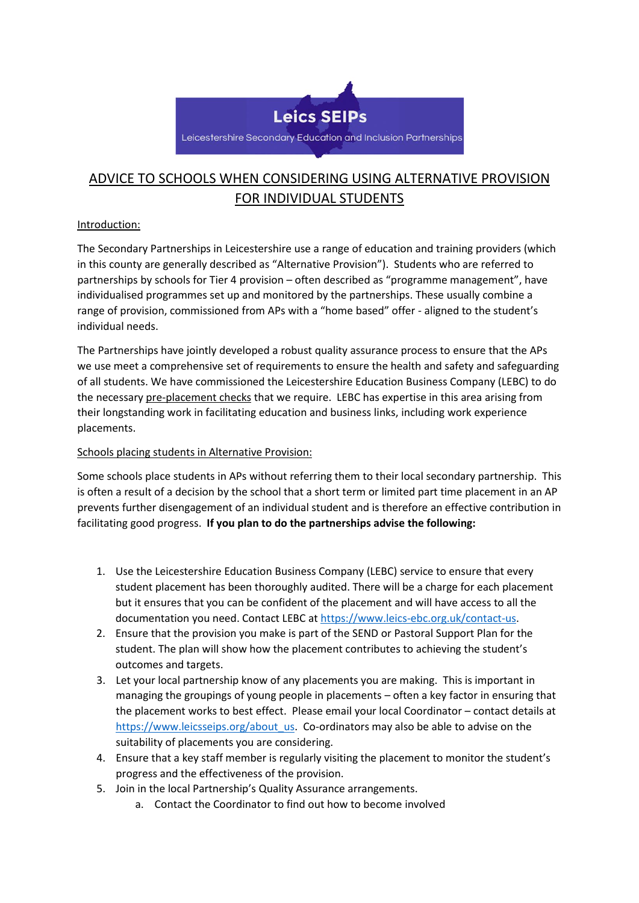

## ADVICE TO SCHOOLS WHEN CONSIDERING USING ALTERNATIVE PROVISION FOR INDIVIDUAL STUDENTS

## Introduction:

The Secondary Partnerships in Leicestershire use a range of education and training providers (which in this county are generally described as "Alternative Provision"). Students who are referred to partnerships by schools for Tier 4 provision – often described as "programme management", have individualised programmes set up and monitored by the partnerships. These usually combine a range of provision, commissioned from APs with a "home based" offer - aligned to the student's individual needs.

The Partnerships have jointly developed a robust quality assurance process to ensure that the APs we use meet a comprehensive set of requirements to ensure the health and safety and safeguarding of all students. We have commissioned the Leicestershire Education Business Company (LEBC) to do the necessary pre-placement checks that we require. LEBC has expertise in this area arising from their longstanding work in facilitating education and business links, including work experience placements.

## Schools placing students in Alternative Provision:

Some schools place students in APs without referring them to their local secondary partnership. This is often a result of a decision by the school that a short term or limited part time placement in an AP prevents further disengagement of an individual student and is therefore an effective contribution in facilitating good progress. **If you plan to do the partnerships advise the following:**

- 1. Use the Leicestershire Education Business Company (LEBC) service to ensure that every student placement has been thoroughly audited. There will be a charge for each placement but it ensures that you can be confident of the placement and will have access to all the documentation you need. Contact LEBC at [https://www.leics-ebc.org.uk/contact-us.](https://www.leics-ebc.org.uk/contact-us)
- 2. Ensure that the provision you make is part of the SEND or Pastoral Support Plan for the student. The plan will show how the placement contributes to achieving the student's outcomes and targets.
- 3. Let your local partnership know of any placements you are making. This is important in managing the groupings of young people in placements – often a key factor in ensuring that the placement works to best effect. Please email your local Coordinator – contact details at [https://www.leicsseips.org/about\\_us.](https://www.leicsseips.org/about_us) Co-ordinators may also be able to advise on the suitability of placements you are considering.
- 4. Ensure that a key staff member is regularly visiting the placement to monitor the student's progress and the effectiveness of the provision.
- 5. Join in the local Partnership's Quality Assurance arrangements.
	- a. Contact the Coordinator to find out how to become involved